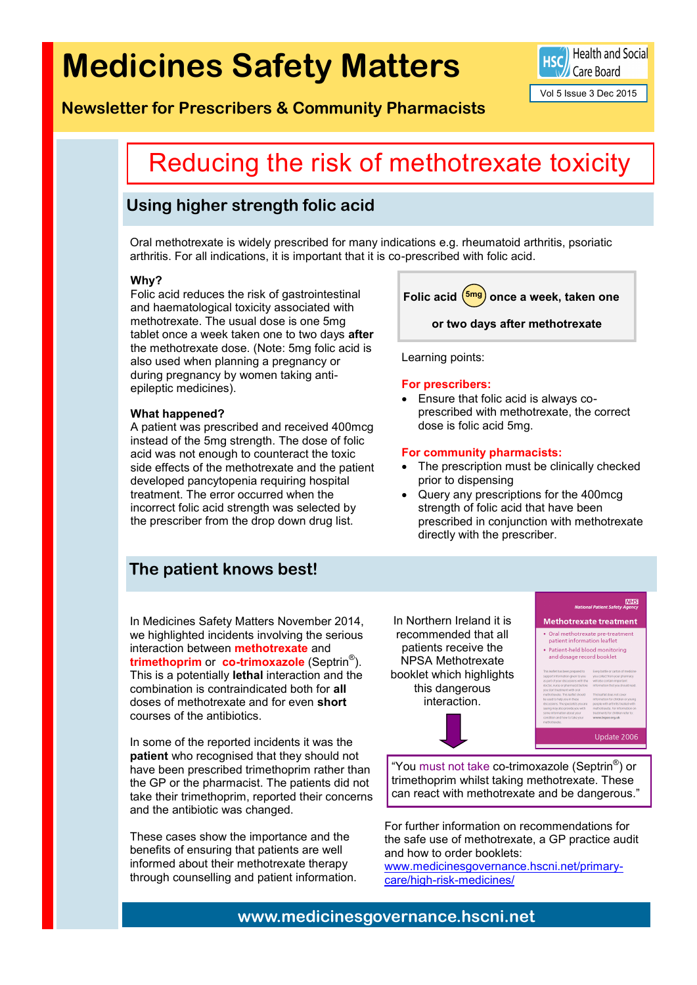# **Medicines Safety Matters**

Health and Social Care Board

Vol 5 Issue 3 Dec 2015

### **Newsletter for Prescribers & Community Pharmacists**

## Reducing the risk of methotrexate toxicity

### **Using higher strength folic acid**

Oral methotrexate is widely prescribed for many indications e.g. rheumatoid arthritis, psoriatic arthritis. For all indications, it is important that it is co-prescribed with folic acid.

#### **Why?**

Folic acid reduces the risk of gastrointestinal and haematological toxicity associated with methotrexate. The usual dose is one 5mg tablet once a week taken one to two days **after** the methotrexate dose. (Note: 5mg folic acid is also used when planning a pregnancy or during pregnancy by women taking antiepileptic medicines).

#### **What happened?**

A patient was prescribed and received 400mcg instead of the 5mg strength. The dose of folic acid was not enough to counteract the toxic side effects of the methotrexate and the patient developed pancytopenia requiring hospital treatment. The error occurred when the incorrect folic acid strength was selected by the prescriber from the drop down drug list.

### **The patient knows best!**

In Medicines Safety Matters November 2014, we highlighted incidents involving the serious interaction between **methotrexate** and **trimethoprim** or **co-trimoxazole** (Septrin® ). This is a potentially **lethal** interaction and the combination is contraindicated both for **all**  doses of methotrexate and for even **short**  courses of the antibiotics.

In some of the reported incidents it was the **patient** who recognised that they should not have been prescribed trimethoprim rather than the GP or the pharmacist. The patients did not take their trimethoprim, reported their concerns and the antibiotic was changed.

These cases show the importance and the benefits of ensuring that patients are well informed about their methotrexate therapy through counselling and patient information. Folic acid  $\left( \frac{5 \text{mg}}{2} \right)$  once a week, taken one **or two days after methotrexate** 

Learning points:

#### **For prescribers:**

 Ensure that folic acid is always coprescribed with methotrexate, the correct dose is folic acid 5mg.

#### **For community pharmacists:**

- The prescription must be clinically checked prior to dispensing
- Query any prescriptions for the 400mcg strength of folic acid that have been prescribed in conjunction with methotrexate directly with the prescriber.

In Northern Ireland it is recommended that all patients receive the NPSA Methotrexate booklet which highlights this dangerous interaction.

### **NHS**

### Methotrexate treatment • Oral methotrexate pre-treatment<br>patient information leaflet

Patient-held blood monitoring<br>and dosage record booklet

| et has been prepared to     | Every bottle or carton of a |
|-----------------------------|-----------------------------|
| formation given to you      | you collect from your pha   |
| your discussions with the   | will also contain importar  |
| urse or pharmacist before   | information that you sho    |
| treatment with oral         |                             |
| xate. This leaflet should   | This leaflet does not cove  |
| o help you in these         | information for children    |
| ns. The specialists you are | people with arthritis treat |
|                             |                             |

Update 2006

"You must not take co-trimoxazole (Septrin® ) or trimethoprim whilst taking methotrexate. These can react with methotrexate and be dangerous."

For further information on recommendations for the safe use of methotrexate, a GP practice audit and how to order booklets:

www.medicinesgovernance.hscni.net/primarycare/high-risk-medicines/

**www.medicinesgovernance.hscni.net**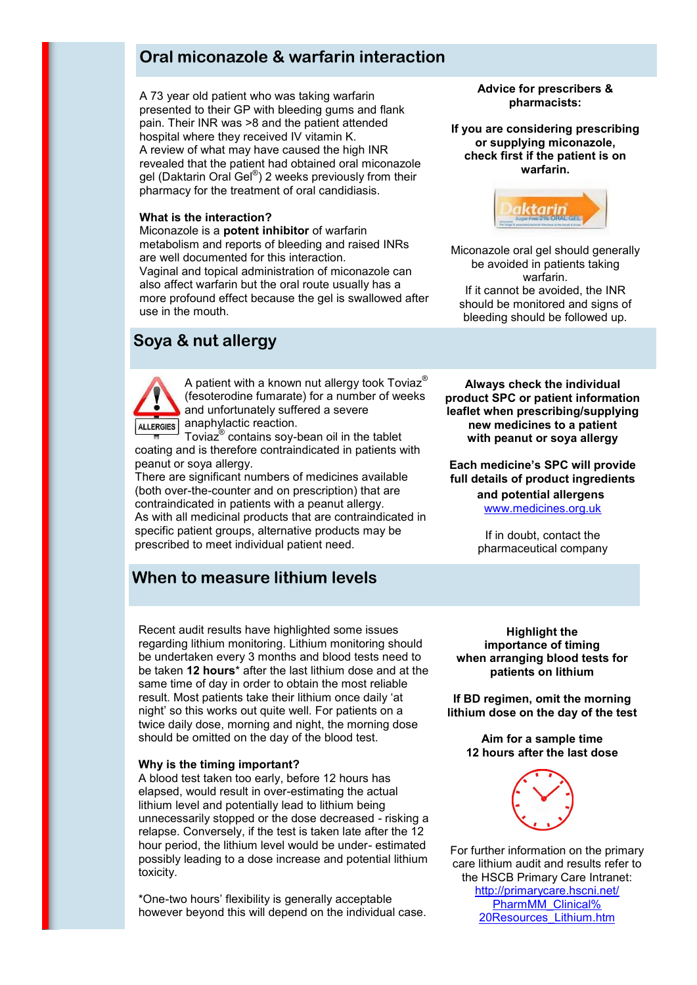### **Oral miconazole & warfarin interaction**

A 73 year old patient who was taking warfarin presented to their GP with bleeding gums and flank pain. Their INR was >8 and the patient attended hospital where they received IV vitamin K. A review of what may have caused the high INR revealed that the patient had obtained oral miconazole gel (Daktarin Oral Gel®) 2 weeks previously from their pharmacy for the treatment of oral candidiasis.

#### **What is the interaction?**

Miconazole is a **potent inhibitor** of warfarin metabolism and reports of bleeding and raised INRs are well documented for this interaction. Vaginal and topical administration of miconazole can also affect warfarin but the oral route usually has a more profound effect because the gel is swallowed after use in the mouth.

### **Soya & nut allergy**



A patient with a known nut allergy took Toviaz<sup>®</sup> (fesoterodine fumarate) for a number of weeks and unfortunately suffered a severe ALLERGIES anaphylactic reaction.

Toviaz® contains soy-bean oil in the tablet coating and is therefore contraindicated in patients with peanut or soya allergy.

There are significant numbers of medicines available (both over-the-counter and on prescription) that are contraindicated in patients with a peanut allergy. As with all medicinal products that are contraindicated in specific patient groups, alternative products may be prescribed to meet individual patient need.

### **When to measure lithium levels**

**Advice for prescribers & pharmacists:**

**If you are considering prescribing or supplying miconazole, check first if the patient is on warfarin.**



Miconazole oral gel should generally be avoided in patients taking warfarin. If it cannot be avoided, the INR should be monitored and signs of bleeding should be followed up.

**Always check the individual product SPC or patient information leaflet when prescribing/supplying new medicines to a patient with peanut or soya allergy**

#### **Each medicine's SPC will provide full details of product ingredients and potential allergens**

[www.medicines.org.uk](http://www.medicines.org.uk)

If in doubt, contact the pharmaceutical company

Recent audit results have highlighted some issues regarding lithium monitoring. Lithium monitoring should be undertaken every 3 months and blood tests need to be taken **12 hours**\* after the last lithium dose and at the same time of day in order to obtain the most reliable result. Most patients take their lithium once daily 'at night' so this works out quite well. For patients on a twice daily dose, morning and night, the morning dose should be omitted on the day of the blood test.

#### **Why is the timing important?**

A blood test taken too early, before 12 hours has elapsed, would result in over-estimating the actual lithium level and potentially lead to lithium being unnecessarily stopped or the dose decreased - risking a relapse. Conversely, if the test is taken late after the 12 hour period, the lithium level would be under- estimated possibly leading to a dose increase and potential lithium toxicity.

\*One-two hours' flexibility is generally acceptable however beyond this will depend on the individual case.

**Highlight the importance of timing when arranging blood tests for patients on lithium**

**If BD regimen, omit the morning lithium dose on the day of the test**

**Aim for a sample time 12 hours after the last dose**



For further information on the primary care lithium audit and results refer to the HSCB Primary Care Intranet: [http://primarycare.hscni.net/](http://primarycare.hscni.net/PharmMM_Clinical%20Resources_Lithium.htm) [PharmMM\\_Clinical%](http://primarycare.hscni.net/PharmMM_Clinical%20Resources_Lithium.htm) [20Resources\\_Lithium.htm](http://primarycare.hscni.net/PharmMM_Clinical%20Resources_Lithium.htm)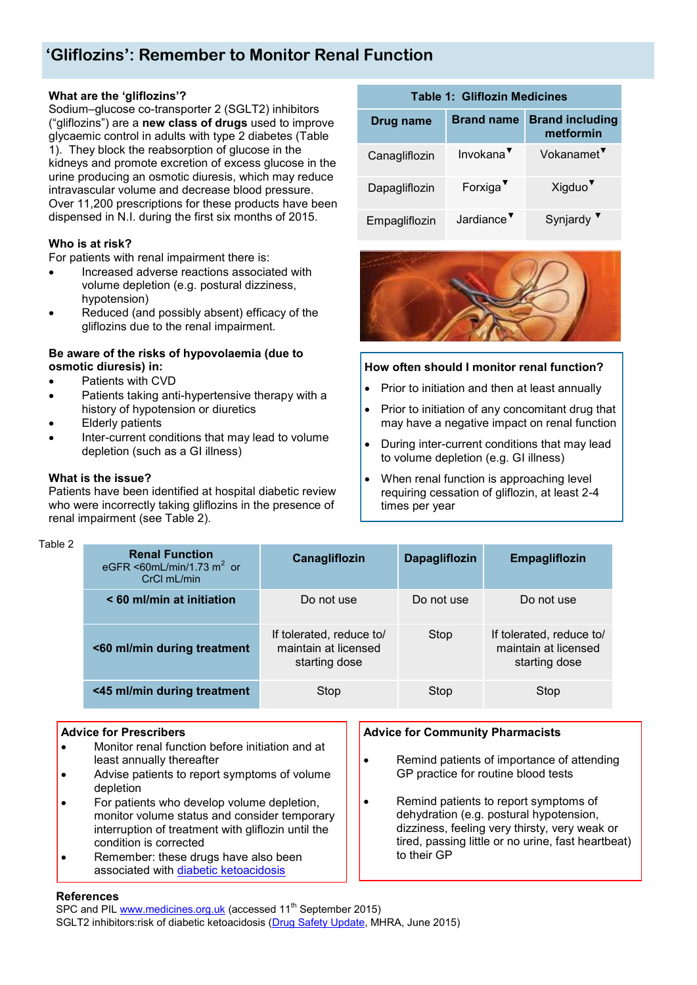### **'Gliflozins': Remember to Monitor Renal Function**

### **What are the 'gliflozins'?**

Sodium–glucose co-transporter 2 (SGLT2) inhibitors ("gliflozins") are a **new class of drugs** used to improve glycaemic control in adults with type 2 diabetes (Table 1). They block the reabsorption of glucose in the kidneys and promote excretion of excess glucose in the urine producing an osmotic diuresis, which may reduce intravascular volume and decrease blood pressure. Over 11,200 prescriptions for these products have been dispensed in N.I. during the first six months of 2015.

### **Who is at risk?**

For patients with renal impairment there is:

- Increased adverse reactions associated with volume depletion (e.g. postural dizziness, hypotension)
- Reduced (and possibly absent) efficacy of the gliflozins due to the renal impairment.

### **Be aware of the risks of hypovolaemia (due to osmotic diuresis) in:**

- Patients with CVD
- Patients taking anti-hypertensive therapy with a history of hypotension or diuretics
- Elderly patients
- Inter-current conditions that may lead to volume depletion (such as a GI illness)

#### **What is the issue?**

Patients have been identified at hospital diabetic review who were incorrectly taking gliflozins in the presence of renal impairment (see Table 2).

### **Table 1: Gliflozin Medicines**

| Drug name     | <b>Brand name</b>      | <b>Brand including</b><br>metformin |  |
|---------------|------------------------|-------------------------------------|--|
| Canagliflozin | Invokana <sup>V</sup>  | Vokanamet <sup>V</sup>              |  |
| Dapagliflozin | Forxiga <sup>V</sup>   | Xigduo <sup>v</sup>                 |  |
| Empagliflozin | Jardiance <sup>V</sup> | Synjardy <sup>V</sup>               |  |



### **How often should I monitor renal function?**

- Prior to initiation and then at least annually
- Prior to initiation of any concomitant drug that may have a negative impact on renal function
- During inter-current conditions that may lead to volume depletion (e.g. GI illness)
- When renal function is approaching level requiring cessation of gliflozin, at least 2-4 times per year

#### Table 2

| <b>Renal Function</b><br>eGFR <60mL/min/1.73 m <sup>2</sup> or<br>CrCl mL/min | <b>Canagliflozin</b>                                              | <b>Dapagliflozin</b> | <b>Empagliflozin</b>                                              |
|-------------------------------------------------------------------------------|-------------------------------------------------------------------|----------------------|-------------------------------------------------------------------|
| < 60 ml/min at initiation                                                     | Do not use                                                        | Do not use           | Do not use                                                        |
| <60 ml/min during treatment                                                   | If tolerated, reduce to/<br>maintain at licensed<br>starting dose | Stop                 | If tolerated, reduce to/<br>maintain at licensed<br>starting dose |
| <45 ml/min during treatment                                                   | Stop                                                              | Stop                 | Stop                                                              |

### **Advice for Prescribers**

- Monitor renal function before initiation and at least annually thereafter
- Advise patients to report symptoms of volume depletion
- For patients who develop volume depletion, monitor volume status and consider temporary interruption of treatment with gliflozin until the condition is corrected
- Remember: these drugs have also been associated with [diabetic ketoacidosis](https://www.gov.uk/drug-safety-update/sglt2-inhibitors-canagliflozin-dapagliflozin-empagliflozin-risk-of-diabetic-ketoacidosis)

### **Advice for Community Pharmacists**

- Remind patients of importance of attending GP practice for routine blood tests
- Remind patients to report symptoms of dehydration (e.g. postural hypotension, dizziness, feeling very thirsty, very weak or tired, passing little or no urine, fast heartbeat) to their GP

### **References**

SPC and PIL [www.medicines.org.uk](http://www.medicines.org.uk) (accessed 11<sup>th</sup> September 2015) SGLT2 inhibitors:risk of diabetic ketoacidosis ([Drug Safety Update,](https://www.gov.uk/drug-safety-update/sglt2-inhibitors-canagliflozin-dapagliflozin-empagliflozin-risk-of-diabetic-ketoacidosis) MHRA, June 2015)